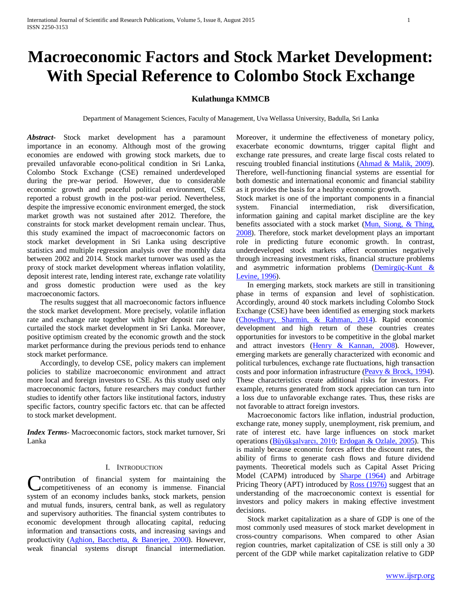# **Macroeconomic Factors and Stock Market Development: With Special Reference to Colombo Stock Exchange**

## **Kulathunga KMMCB**

Department of Management Sciences, Faculty of Management, Uva Wellassa University, Badulla, Sri Lanka

*Abstract***-** Stock market development has a paramount importance in an economy. Although most of the growing economies are endowed with growing stock markets, due to prevailed unfavorable econo-political condition in Sri Lanka, Colombo Stock Exchange (CSE) remained underdeveloped during the pre-war period. However, due to considerable economic growth and peaceful political environment, CSE reported a robust growth in the post-war period. Nevertheless, despite the impressive economic environment emerged, the stock market growth was not sustained after 2012. Therefore, the constraints for stock market development remain unclear. Thus, this study examined the impact of macroeconomic factors on stock market development in Sri Lanka using descriptive statistics and multiple regression analysis over the monthly data between 2002 and 2014. Stock market turnover was used as the proxy of stock market development whereas inflation volatility, deposit interest rate, lending interest rate, exchange rate volatility and gross domestic production were used as the key macroeconomic factors.

 The results suggest that all macroeconomic factors influence the stock market development. More precisely, volatile inflation rate and exchange rate together with higher deposit rate have curtailed the stock market development in Sri Lanka. Moreover, positive optimism created by the economic growth and the stock market performance during the previous periods tend to enhance stock market performance.

 Accordingly, to develop CSE, policy makers can implement policies to stabilize macroeconomic environment and attract more local and foreign investors to CSE. As this study used only macroeconomic factors, future researchers may conduct further studies to identify other factors like institutional factors, industry specific factors, country specific factors etc. that can be affected to stock market development.

*Index Terms*- Macroeconomic factors, stock market turnover, Sri Lanka

### I. INTRODUCTION

ontribution of financial system for maintaining the Contribution of financial system for maintaining the competitiveness of an economy is immense. Financial system of an economy includes banks, stock markets, pension and mutual funds, insurers, central bank, as well as regulatory and supervisory authorities. The financial system contributes to economic development through allocating capital, reducing information and transactions costs, and increasing savings and productivity (Aghion, Bacchetta, & Banerjee, 2000). However, weak financial systems disrupt financial intermediation.

Moreover, it undermine the effectiveness of monetary policy, exacerbate economic downturns, trigger capital flight and exchange rate pressures, and create large fiscal costs related to rescuing troubled financial institutions (Ahmad & Malik, 2009). Therefore, well-functioning financial systems are essential for both domestic and international economic and financial stability as it provides the basis for a healthy economic growth.

Stock market is one of the important components in a financial system. Financial intermediation, risk diversification, information gaining and capital market discipline are the key benefits associated with a stock market (Mun, Siong, & Thing, 2008). Therefore, stock market development plays an important role in predicting future economic growth. In contrast, underdeveloped stock markets affect economies negatively through increasing investment risks, financial structure problems and asymmetric information problems (Demirgüç-Kunt & Levine, 1996).

 In emerging markets, stock markets are still in transitioning phase in terms of expansion and level of sophistication. Accordingly, around 40 stock markets including Colombo Stock Exchange (CSE) have been identified as emerging stock markets (Chowdhury, Sharmin, & Rahman, 2014). Rapid economic development and high return of these countries creates opportunities for investors to be competitive in the global market and attract investors (Henry & Kannan, 2008). However, emerging markets are generally characterized with economic and political turbulences, exchange rate fluctuations, high transaction costs and poor information infrastructure (Peavy & Brock, 1994). These characteristics create additional risks for investors. For example, returns generated from stock appreciation can turn into a loss due to unfavorable exchange rates. Thus, these risks are not favorable to attract foreign investors.

 Macroeconomic factors like inflation, industrial production, exchange rate, money supply, unemployment, risk premium, and rate of interest etc. have large influences on stock market operations (Büyükşalvarcı, 2010; Erdogan & Ozlale, 2005). This is mainly because economic forces affect the discount rates, the ability of firms to generate cash flows and future dividend payments. Theoretical models such as Capital Asset Pricing Model (CAPM) introduced by Sharpe (1964) and Arbitrage Pricing Theory (APT) introduced by Ross (1976) suggest that an understanding of the macroeconomic context is essential for investors and policy makers in making effective investment decisions.

 Stock market capitalization as a share of GDP is one of the most commonly used measures of stock market development in cross-country comparisons. When compared to other Asian region countries, market capitalization of CSE is still only a 30 percent of the GDP while market capitalization relative to GDP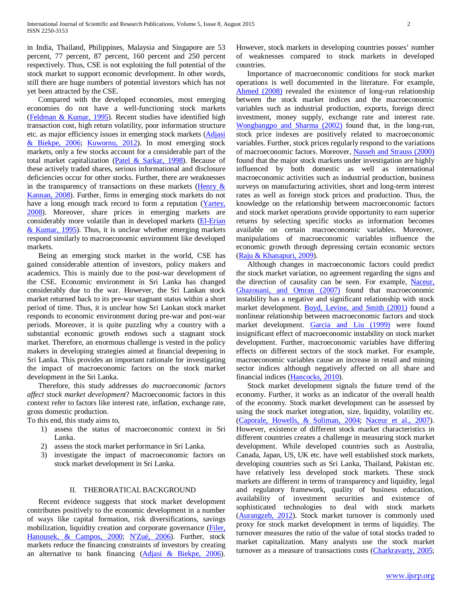in India, Thailand, Philippines, Malaysia and Singapore are 53 percent, 77 percent, 87 percent, 160 percent and 250 percent respectively. Thus, CSE is not exploiting the full potential of the stock market to support economic development. In other words, still there are huge numbers of potential investors which has not yet been attracted by the CSE.

 Compared with the developed economies, most emerging economies do not have a well-functioning stock markets (Feldman & Kumar, 1995). Recent studies have identified high transaction cost, high return volatility, poor information structure etc. as major efficiency issues in emerging stock markets (Adjasi & Biekpe, 2006; Kuwornu, 2012). In most emerging stock markets, only a few stocks account for a considerable part of the total market capitalization (Patel & Sarkar, 1998). Because of these actively traded shares, serious informational and disclosure deficiencies occur for other stocks. Further, there are weaknesses in the transparency of transactions on these markets (Henry  $\&$ Kannan, 2008). Further, firms in emerging stock markets do not have a long enough track record to form a reputation (Yartey, 2008). Moreover, share prices in emerging markets are considerably more volatile than in developed markets (El-Erian & Kumar, 1995). Thus, it is unclear whether emerging markets respond similarly to macroeconomic environment like developed markets.

 Being an emerging stock market in the world, CSE has gained considerable attention of investors, policy makers and academics. This is mainly due to the post-war development of the CSE. Economic environment in Sri Lanka has changed considerably due to the war. However, the Sri Lankan stock market returned back to its pre-war stagnant status within a short period of time. Thus, it is unclear how Sri Lankan stock market responds to economic environment during pre-war and post-war periods. Moreover, it is quite puzzling why a country with a substantial economic growth endows such a stagnant stock market. Therefore, an enormous challenge is vested in the policy makers in developing strategies aimed at financial deepening in Sri Lanka. This provides an important rationale for investigating the impact of macroeconomic factors on the stock market development in the Sri Lanka.

 Therefore, this study addresses *do macroeconomic factors affect stock market development*? Macroeconomic factors in this context refer to factors like interest rate, inflation, exchange rate, gross domestic production.

To this end, this study aims to,

- 1) assess the status of macroeconomic context in Sri Lanka.
- 2) assess the stock market performance in Sri Lanka.
- 3) investigate the impact of macroeconomic factors on stock market development in Sri Lanka.

## II. THERORATICAL BACKGROUND

 Recent evidence suggests that stock market development contributes positively to the economic development in a number of ways like capital formation, risk diversifications, savings mobilization, liquidity creation and corporate governance (Filer, Hanousek, & Campos, 2000; N'Zué, 2006). Further, stock markets reduce the financing constraints of investors by creating an alternative to bank financing (Adjasi & Biekpe, 2006).

However, stock markets in developing countries posses' number of weaknesses compared to stock markets in developed countries.

 Importance of macroeconomic conditions for stock market operations is well documented in the literature. For example, Ahmed (2008) revealed the existence of long-run relationship between the stock market indices and the macroeconomic variables such as industrial production, exports, foreign direct investment, money supply, exchange rate and interest rate. Wongbangpo and Sharma (2002) found that, in the long-run, stock price indexes are positively related to macroeconomic variables. Further, stock prices regularly respond to the variations of macroeconomic factors. Moreover, Nasseh and Strauss (2000) found that the major stock markets under investigation are highly influenced by both domestic as well as international macroeconomic activities such as industrial production, business surveys on manufacturing activities, short and long-term interest rates as well as foreign stock prices and production. Thus, the knowledge on the relationship between macroeconomic factors and stock market operations provide opportunity to earn superior returns by selecting specific stocks as information becomes available on certain macroeconomic variables. Moreover, manipulations of macroeconomic variables influence the economic growth through depressing certain economic sectors (Raju & Khanapuri, 2009).

 Although changes in macroeconomic factors could predict the stock market variation, no agreement regarding the signs and the direction of causality can be seen. For example, Naceur, Ghazouani, and Omran (2007) found that macroeconomic instability has a negative and significant relationship with stock market development. Boyd, Levine, and Smith (2001) found a nonlinear relationship between macroeconomic factors and stock market development. Garcia and Liu (1999) were found insignificant effect of macroeconomic instability on stock market development. Further, macroeconomic variables have differing effects on different sectors of the stock market. For example, macroeconomic variables cause an increase in retail and mining sector indices although negatively affected on all share and financial indices (Hancocks, 2010).

 Stock market development signals the future trend of the economy. Further, it works as an indicator of the overall health of the economy. Stock market development can be assessed by using the stock market integration, size, liquidity, volatility etc. (Caporale, Howells, & Soliman, 2004; Naceur et al., 2007). However, existence of different stock market characteristics in different countries creates a challenge in measuring stock market development. While developed countries such as Australia, Canada, Japan, US, UK etc. have well established stock markets, developing countries such as Sri Lanka, Thailand, Pakistan etc. have relatively less developed stock markets. These stock markets are different in terms of transparency and liquidity, legal and regulatory framework, quality of business education, availability of investment securities and existence of sophisticated technologies to deal with stock markets (Aurangzeb, 2012). Stock market turnover is commonly used proxy for stock market development in terms of liquidity. The turnover measures the ratio of the value of total stocks traded to market capitalization. Many analysts use the stock market turnover as a measure of transactions costs (Charkravarty, 2005;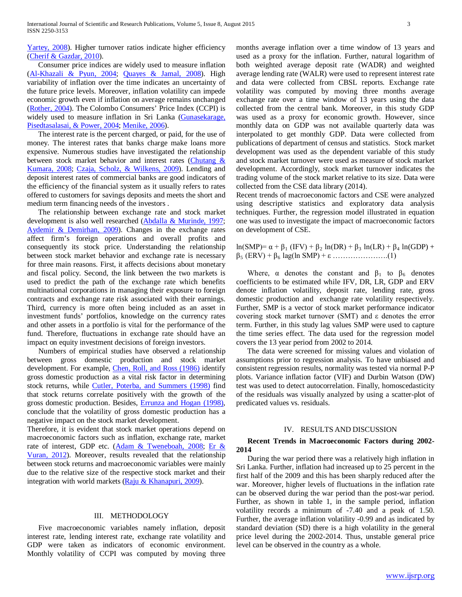Yartey, 2008). Higher turnover ratios indicate higher efficiency (Cherif & Gazdar, 2010).

 Consumer price indices are widely used to measure inflation (Al-Khazali & Pyun, 2004; Quayes & Jamal, 2008). High variability of inflation over the time indicates an uncertainty of the future price levels. Moreover, inflation volatility can impede economic growth even if inflation on average remains unchanged (Rother, 2004). The Colombo Consumers' Price Index (CCPI) is widely used to measure inflation in Sri Lanka (Gunasekarage, Pisedtasalasai, & Power, 2004; Menike, 2006).

 The interest rate is the percent charged, or paid, for the use of money. The interest rates that banks charge make loans more expensive. Numerous studies have investigated the relationship between stock market behavior and interest rates (Chutang & Kumara, 2008; Czaja, Scholz, & Wilkens, 2009). Lending and deposit interest rates of commercial banks are good indicators of the efficiency of the financial system as it usually refers to rates offered to customers for savings deposits and meets the short and medium term financing needs of the investors .

 The relationship between exchange rate and stock market development is also well researched (Abdalla & Murinde, 1997; Aydemir & Demirhan, 2009). Changes in the exchange rates affect firm's foreign operations and overall profits and consequently its stock price. Understanding the relationship between stock market behavior and exchange rate is necessary for three main reasons. First, it affects decisions about monetary and fiscal policy. Second, the link between the two markets is used to predict the path of the exchange rate which benefits multinational corporations in managing their exposure to foreign contracts and exchange rate risk associated with their earnings. Third, currency is more often being included as an asset in investment funds' portfolios, knowledge on the currency rates and other assets in a portfolio is vital for the performance of the fund. Therefore, fluctuations in exchange rate should have an impact on equity investment decisions of foreign investors.

 Numbers of empirical studies have observed a relationship between gross domestic production and stock market development. For example, *Chen, Roll, and Ross (1986)* identify gross domestic production as a vital risk factor in determining stock returns, while Cutler, Poterba, and Summers (1998) find that stock returns correlate positively with the growth of the gross domestic production. Besides, Errunza and Hogan (1998), conclude that the volatility of gross domestic production has a negative impact on the stock market development.

Therefore, it is evident that stock market operations depend on macroeconomic factors such as inflation, exchange rate, market rate of interest, GDP etc. (Adam & Tweneboah, 2008; Er & Vuran, 2012). Moreover, results revealed that the relationship between stock returns and macroeconomic variables were mainly due to the relative size of the respective stock market and their integration with world markets (Raju & Khanapuri, 2009).

#### III. METHODOLOGY

 Five macroeconomic variables namely inflation, deposit interest rate, lending interest rate, exchange rate volatility and GDP were taken as indicators of economic environment. Monthly volatility of CCPI was computed by moving three

months average inflation over a time window of 13 years and used as a proxy for the inflation. Further, natural logarithm of both weighted average deposit rate (WADR) and weighted average lending rate (WALR) were used to represent interest rate and data were collected from CBSL reports. Exchange rate volatility was computed by moving three months average exchange rate over a time window of 13 years using the data collected from the central bank. Moreover, in this study GDP was used as a proxy for economic growth. However, since monthly data on GDP was not available quarterly data was interpolated to get monthly GDP. Data were collected from publications of department of census and statistics. Stock market development was used as the dependent variable of this study and stock market turnover were used as measure of stock market development. Accordingly, stock market turnover indicates the trading volume of the stock market relative to its size. Data were collected from the CSE data library (2014).

Recent trends of macroeconomic factors and CSE were analyzed using descriptive statistics and exploratory data analysis techniques. Further, the regression model illustrated in equation one was used to investigate the impact of macroeconomic factors on development of CSE.

ln(SMP)=  $\alpha + \beta_1$  (IFV) +  $\beta_2$  ln(DR) +  $\beta_3$  ln(LR) +  $\beta_4$  ln(GDP) + β<sup>5</sup> (ERV) + β<sup>6</sup> lag(ln SMP) + ε ………………….(1)

Where,  $\alpha$  denotes the constant and  $\beta_1$  to  $\beta_6$  denotes coefficients to be estimated while IFV, DR, LR, GDP and ERV denote inflation volatility, deposit rate, lending rate, gross domestic production and exchange rate volatility respectively. Further, SMP is a vector of stock market performance indicator covering stock market turnover (SMT) and ε denotes the error term. Further, in this study lag values SMP were used to capture the time series effect. The data used for the regression model covers the 13 year period from 2002 to 2014.

 The data were screened for missing values and violation of assumptions prior to regression analysis. To have unbiased and consistent regression results, normality was tested via normal P-P plots. Variance inflation factor (VIF) and Durbin Watson (DW) test was used to detect autocorrelation. Finally, homoscedasticity of the residuals was visually analyzed by using a scatter-plot of predicated values vs. residuals.

#### IV. RESULTS AND DISCUSSION

### **Recent Trends in Macroeconomic Factors during 2002- 2014**

 During the war period there was a relatively high inflation in Sri Lanka. Further, inflation had increased up to 25 percent in the first half of the 2009 and this has been sharply reduced after the war. Moreover, higher levels of fluctuations in the inflation rate can be observed during the war period than the post-war period. Further, as shown in table 1, in the sample period, inflation volatility records a minimum of -7.40 and a peak of 1.50. Further, the average inflation volatility -0.99 and as indicated by standard deviation (SD) there is a high volatility in the general price level during the 2002-2014. Thus, unstable general price level can be observed in the country as a whole.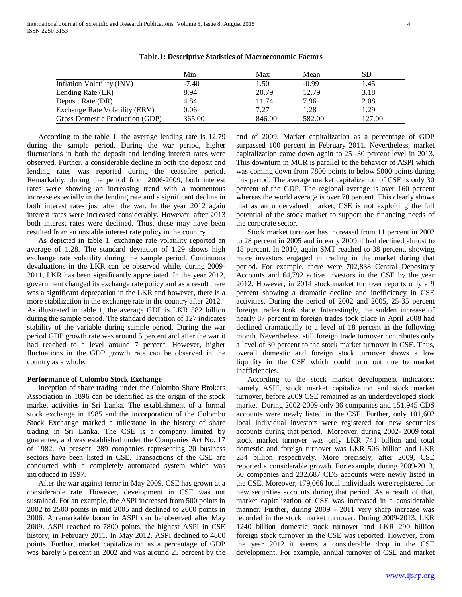|                                       | Min     | Max    | Mean    | SD     |
|---------------------------------------|---------|--------|---------|--------|
| Inflation Volatility (INV)            | $-7.40$ | 1.50   | $-0.99$ | 1.45   |
| Lending Rate (LR)                     | 8.94    | 20.79  | 12.79   | 3.18   |
| Deposit Rate (DR)                     | 4.84    | 11.74  | 7.96    | 2.08   |
| <b>Exchange Rate Volatility (ERV)</b> | 0.06    | 7.27   | 1.28    | 1.29   |
| Gross Domestic Production (GDP)       | 365.00  | 846.00 | 582.00  | 127.00 |

**Table.1: Descriptive Statistics of Macroeconomic Factors**

 According to the table 1, the average lending rate is 12.79 during the sample period. During the war period, higher fluctuations in both the deposit and lending interest rates were observed. Further, a considerable decline in both the deposit and lending rates was reported during the ceasefire period. Remarkably, during the period from 2006-2009, both interest rates were showing an increasing trend with a momentous increase especially in the lending rate and a significant decline in both interest rates just after the war. In the year 2012 again interest rates were increased considerably. However, after 2013 both interest rates were declined. Thus, these may have been resulted from an unstable interest rate policy in the country.

 As depicted in table 1, exchange rate volatility reported an average of 1.28. The standard deviation of 1.29 shows high exchange rate volatility during the sample period. Continuous devaluations in the LKR can be observed while, during 2009- 2011, LKR has been significantly appreciated. In the year 2012, government changed its exchange rate policy and as a result there was a significant deprecation in the LKR and however, there is a more stabilization in the exchange rate in the country after 2012. As illustrated in table 1, the average GDP is LKR 582 billion during the sample period. The standard deviation of 127 indicates stability of the variable during sample period. During the war period GDP growth rate was around 5 percent and after the war it had reached to a level around 7 percent. However, higher fluctuations in the GDP growth rate can be observed in the country as a whole.

#### **Performance of Colombo Stock Exchange**

 Inception of share trading under the Colombo Share Brokers Association in 1896 can be identified as the origin of the stock market activities in Sri Lanka. The establishment of a formal stock exchange in 1985 and the incorporation of the Colombo Stock Exchange marked a milestone in the history of share trading in Sri Lanka. The CSE is a company limited by guarantee, and was established under the Companies Act No. 17 of 1982. At present, 289 companies representing 20 business sectors have been listed in CSE. Transactions of the CSE are conducted with a completely automated system which was introduced in 1997.

 After the war against terror in May 2009, CSE has grown at a considerable rate. However, development in CSE was not sustained. For an example, the ASPI increased from 500 points in 2002 to 2500 points in mid 2005 and declined to 2000 points in 2006. A remarkable boom in ASPI can be observed after May 2009. ASPI reached to 7800 points, the highest ASPI in CSE history, in February 2011. In May 2012, ASPI declined to 4800 points. Further, market capitalization as a percentage of GDP was barely 5 percent in 2002 and was around 25 percent by the end of 2009. Market capitalization as a percentage of GDP surpassed 100 percent in February 2011. Nevertheless, market capitalization came down again to 25 -30 percent level in 2013. This downturn in MCR is parallel to the behavior of ASPI which was coming down from 7800 points to below 5000 points during this period. The average market capitalization of CSE is only 30 percent of the GDP. The regional average is over 160 percent whereas the world average is over 70 percent. This clearly shows that as an undervalued market, CSE is not exploiting the full potential of the stock market to support the financing needs of the corporate sector.

 Stock market turnover has increased from 11 percent in 2002 to 28 percent in 2005 and in early 2009 it had declined almost to 18 percent. In 2010, again SMT reached to 38 percent, showing more investors engaged in trading in the market during that period. For example, there were 702,838 Central Depositary Accounts and 64,792 active investors in the CSE by the year 2012. However, in 2014 stock market turnover reports only a 9 percent showing a dramatic decline and inefficiency in CSE activities. During the period of 2002 and 2005, 25-35 percent foreign trades took place. Interestingly, the sudden increase of nearly 87 percent in foreign trades took place in April 2008 had declined dramatically to a level of 18 percent in the following month. Nevertheless, still foreign trade turnover contributes only a level of 30 percent to the stock market turnover in CSE. Thus, overall domestic and foreign stock turnover shows a low liquidity in the CSE which could turn out due to market inefficiencies.

 According to the stock market development indicators; namely ASPI, stock market capitalization and stock market turnover, before 2009 CSE remained as an underdeveloped stock market. During 2002-2009 only 36 companies and 151,945 CDS accounts were newly listed in the CSE. Further, only 101,602 local individual investors were registered for new securities accounts during that period. Moreover, during 2002- 2009 total stock market turnover was only LKR 741 billion and total domestic and foreign turnover was LKR 506 billion and LKR 234 billion respectively. More precisely, after 2009, CSE reported a considerable growth. For example, during 2009-2013, 60 companies and 232,687 CDS accounts were newly listed in the CSE. Moreover, 179,066 local individuals were registered for new securities accounts during that period. As a result of that, market capitalization of CSE was increased in a considerable manner. Further, during 2009 - 2011 very sharp increase was recorded in the stock market turnover. During 2009-2013, LKR 1240 billion domestic stock turnover and LKR 290 billion foreign stock turnover in the CSE was reported. However, from the year 2012 it seems a considerable drop in the CSE development. For example, annual turnover of CSE and market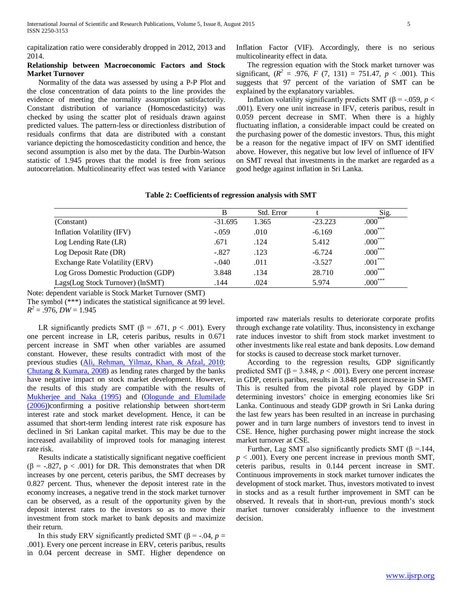capitalization ratio were considerably dropped in 2012, 2013 and 2014.

## **Relationship between Macroeconomic Factors and Stock Market Turnover**

 Normality of the data was assessed by using a P-P Plot and the close concentration of data points to the line provides the evidence of meeting the normality assumption satisfactorily. Constant distribution of variance (Homoscedasticity) was checked by using the scatter plot of residuals drawn against predicted values. The pattern-less or directionless distribution of residuals confirms that data are distributed with a constant variance depicting the homoscedasticity condition and hence, the second assumption is also met by the data. The Durbin-Watson statistic of 1.945 proves that the model is free from serious autocorrelation. Multicolinearity effect was tested with Variance Inflation Factor (VIF). Accordingly, there is no serious multicolinearity effect in data.

 The regression equation with the Stock market turnover was significant,  $(R^2 = .976, F (7, 131) = 751.47, p < .001)$ . This suggests that 97 percent of the variation of SMT can be explained by the explanatory variables.

Inflation volatility significantly predicts SMT ( $\beta$  = -.059, *p* < .001). Every one unit increase in IFV, ceteris paribus, result in 0.059 percent decrease in SMT. When there is a highly fluctuating inflation, a considerable impact could be created on the purchasing power of the domestic investors. Thus, this might be a reason for the negative impact of IFV on SMT identified above. However, this negative but low level of influence of IFV on SMT reveal that investments in the market are regarded as a good hedge against inflation in Sri Lanka.

|  |  | Table 2: Coefficients of regression analysis with SMT |  |  |  |  |
|--|--|-------------------------------------------------------|--|--|--|--|
|--|--|-------------------------------------------------------|--|--|--|--|

|                                     | B         | Std. Error |           | Sig.         |
|-------------------------------------|-----------|------------|-----------|--------------|
| (Constant)                          | $-31.695$ | 1.365      | $-23.223$ | $.000***$    |
| Inflation Volatility (IFV)          | $-.059$   | .010       | $-6.169$  | $.000***$    |
| Log Lending Rate (LR)               | .671      | .124       | 5.412     | $.000***$    |
| Log Deposit Rate (DR)               | $-.827$   | .123       | $-6.724$  | $.000***$    |
| Exchange Rate Volatility (ERV)      | $-.040$   | .011       | $-3.527$  | $.001***$    |
| Log Gross Domestic Production (GDP) | 3.848     | .134       | 28.710    | $.000^{***}$ |
| Lags(Log Stock Turnover) (lnSMT)    | .144      | .024       | 5.974     | $.000***$    |

Note: dependent variable is Stock Market Turnover (SMT) The symbol (\*\*\*) indicates the statistical significance at 99 level.  $R^2 = .976$ , *DW* = 1.945

LR significantly predicts SMT ( $\beta$  = .671, *p* < .001). Every one percent increase in LR, ceteris paribus, results in 0.671 percent increase in SMT when other variables are assumed constant. However, these results contradict with most of the previous studies (Ali, Rehman, Yilmaz, Khan, & Afzal, 2010; Chutang & Kumara, 2008) as lending rates charged by the banks have negative impact on stock market development. However, the results of this study are compatible with the results of Mukherjee and Naka (1995) and (Ologunde and Elumilade (2006))confirming a positive relationship between short-term interest rate and stock market development. Hence, it can be assumed that short-term lending interest rate risk exposure has declined in Sri Lankan capital market. This may be due to the increased availability of improved tools for managing interest rate risk.

 Results indicate a statistically significant negative coefficient ( $\beta$  = -.827,  $p < .001$ ) for DR. This demonstrates that when DR increases by one percent, ceteris paribus, the SMT decreases by 0.827 percent. Thus, whenever the deposit interest rate in the economy increases, a negative trend in the stock market turnover can be observed, as a result of the opportunity given by the deposit interest rates to the investors so as to move their investment from stock market to bank deposits and maximize their return.

In this study ERV significantly predicted SMT (β = -.04, *p* = .001). Every one percent increase in ERV, ceteris paribus, results in 0.04 percent decrease in SMT. Higher dependence on imported raw materials results to deteriorate corporate profits through exchange rate volatility. Thus, inconsistency in exchange rate induces investor to shift from stock market investment to other investments like real estate and bank deposits. Low demand for stocks is caused to decrease stock market turnover.

 According to the regression results, GDP significantly predicted SMT ( $β = 3.848, p < .001$ ). Every one percent increase in GDP, ceteris paribus, results in 3.848 percent increase in SMT. This is resulted from the pivotal role played by GDP in determining investors' choice in emerging economies like Sri Lanka. Continuous and steady GDP growth in Sri Lanka during the last few years has been resulted in an increase in purchasing power and in turn large numbers of investors tend to invest in CSE. Hence, higher purchasing power might increase the stock market turnover at CSE.

Further, Lag SMT also significantly predicts SMT ( $\beta$  = 144,  $p < .001$ ). Every one percent increase in previous month SMT, ceteris paribus, results in 0.144 percent increase in SMT. Continuous improvements in stock market turnover indicates the development of stock market. Thus, investors motivated to invest in stocks and as a result further improvement in SMT can be observed. It reveals that in short-run, previous month's stock market turnover considerably influence to the investment decision.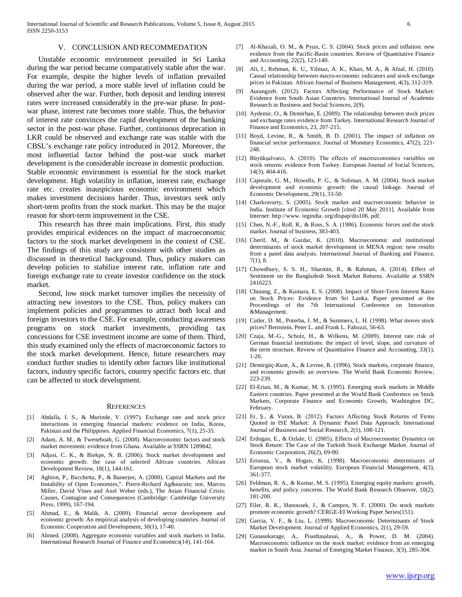### V. CONCLUSION AND RECOMMEDATION

 Unstable economic environment prevailed in Sri Lanka during the war period became comparatively stable after the war. For example, despite the higher levels of inflation prevailed during the war period, a more stable level of inflation could be observed after the war. Further, both deposit and lending interest rates were increased considerably in the pre-war phase. In postwar phase, interest rate becomes more stable. Thus, the behavior of interest rate convinces the rapid development of the banking sector in the post-war phase. Further, continuous deprecation in LKR could be observed and exchange rate was stable with the CBSL's exchange rate policy introduced in 2012. Moreover, the most influential factor behind the post-war stock market development is the considerable increase in domestic production. Stable economic environment is essential for the stock market development. High volatility in inflation, interest rate, exchange rate etc. creates inauspicious economic environment which makes investment decisions harder. Thus, investors seek only short-term profits from the stock market. This may be the major reason for short-term improvement in the CSE.

 This research has three main implications. First, this study provides empirical evidences on the impact of macroeconomic factors to the stock market development in the context of CSE. The findings of this study are consistent with other studies as discussed in theoretical background. Thus, policy makers can develop policies to stabilize interest rate, inflation rate and foreign exchange rate to create investor confidence on the stock market.

 Second, low stock market turnover implies the necessity of attracting new investors to the CSE. Thus, policy makers can implement policies and programmes to attract both local and foreign investors to the CSE. For example, conducting awareness programs on stock market investments, providing tax concessions for CSE investment income are some of them. Third, this study examined only the effects of macroeconomic factors to the stock market development. Hence, future researchers may conduct further studies to identify other factors like institutional factors, industry specific factors, country specific factors etc. that can be affected to stock development.

#### **REFERENCES**

- [1] Abdalla, I. S., & Murinde, V. (1997). Exchange rate and stock price interactions in emerging financial markets: evidence on India, Korea, Pakistan and the Philippines. Applied Financial Economics, 7(1), 25-35.
- [2] Adam, A. M., & Tweneboah, G. (2008). Macroeconomic factors and stock market movement: evidence from Ghana. Available at SSRN 1289842.
- [3] Adjasi, C. K., & Biekpe, N. B. (2006). Stock market development and economic growth: the case of selected African countries. African Development Review, 18(1), 144-161.
- [4] Aghion, P., Bacchetta, P., & Banerjee, A. (2000). Capital Markets and the Instability of Open Economies,". Pierre-Richard Agé nor, Marcus Miller, David Vines and Axel Weber (eds.), The Asian Financial Crisis: Causes, Contagion and Consequences (Cambridge: Cambridge University Press, 1999), 167-194.
- [5] Ahmad, E., & Malik, A. (2009). Financial sector development and economic growth: An empirical analysis of developing countries. Journal of Economic Cooperation and Development, 30(1), 17-40.
- [6] Ahmed. (2008). Aggregate economic variables and stock markets in India. International Research Journal of Finance and Economics(14), 141-164.
- [7] Al-Khazali, O. M., & Pyun, C. S. (2004). Stock prices and inflation: new evidence from the Pacific-Basin countries. Review of Quantitative Finance and Accounting, 22(2), 123-140.
- [8] Ali, I., Rehman, K. U., Yilmaz, A. K., Khan, M. A., & Afzal, H. (2010). Causal relationship between macro-economic indicators and stock exchange prices in Pakistan. African Journal of Business Management, 4(3), 312-319.
- [9] Aurangzeb. (2012). Factors Affecting Performance of Stock Market: Evidence from South Asian Countries. International Journal of Academic Research in Business and Social Sciences, 2(9).
- [10] Aydemir, O., & Demirhan, E. (2009). The relationship between stock prices and exchange rates evidence from Turkey. International Research Journal of Finance and Economics, 23, 207-215.
- [11] Boyd, Levine, R., & Smith, B. D. (2001). The impact of inflation on financial sector performance. Journal of Monetary Economics, 47(2), 221- 248.
- [12] Büyükşalvarcı, A. (2010). The effects of macroeconomics variables on stock returns: evidence from Turkey. European Journal of Social Sciences, 14(3), 404-416.
- [13] Caporale, G. M., Howells, P. G., & Soliman, A. M. (2004). Stock market development and economic growth: the causal linkage. Journal of Economic Development, 29(1), 33-50.
- [14] Charkravarty, S. (2005). Stock market and macroeconomic behavior in India. Institute of Economic Growth [cited 20 May 2011]. Available from Internet: http://www. iegindia. org/dispap/dis106. pdf.
- [15] Chen, N.-F., Roll, R., & Ross, S. A. (1986). Economic forces and the stock market. Journal of business, 383-403.
- [16] Cherif, M., & Gazdar, K. (2010). Macroeconomic and institutional determinants of stock market development in MENA region: new results from a panel data analysis. International Journal of Banking and Finance, 7(1), 8.
- [17] Chowdhury, S. S. H., Sharmin, R., & Rahman, A. (2014). Effect of Sentiment on the Bangladesh Stock Market Returns. Available at SSRN 2416223.
- [18] Chutang, Z., & Kumara, E. S. (2008). Impact of Short-Term Interest Rates on Stock Prices: Evidence from Sri Lanka. Paper presented at the Proceedings of the 7th International Conference on Innovation &Management.
- [19] Cutler, D. M., Poterba, J. M., & Summers, L. H. (1998). What moves stock prices? Bernstein, Peter L. and Frank L. Fabozzi, 56-63.
- [20] Czaja, M.-G., Scholz, H., & Wilkens, M. (2009). Interest rate risk of German financial institutions: the impact of level, slope, and curvature of the term structure. Review of Quantitative Finance and Accounting, 33(1), 1-26.
- [21] Demirgüç-Kunt, A., & Levine, R. (1996). Stock markets, corporate finance, and economic growth: an overview. The World Bank Economic Review, 223-239.
- [22] El-Erian, M., & Kumar, M. S. (1995). Emerging stock markets in Middle Eastern countries. Paper presented at the World Bank Conference on Stock Markets, Corporate Finance and Economic Growth, Washington DC, February.
- [23] Er, Ş., & Vuran, B. (2012). Factors Affecting Stock Returns of Firms Quoted in ISE Market: A Dynamic Panel Data Approach. International Journal of Business and Social Research, 2(1), 108-121.
- [24] Erdogan, E., & Ozlale, U. (2005). Effects of Macroeconomic Dynamics on Stock Return: The Case of the Turkish Stock Exchange Market. Journal of Economic Corporation, 26(2), 69-90.
- [25] Errunza, V., & Hogan, K. (1998). Macroeconomic determinants of European stock market volatility. European Financial Management, 4(3), 361-377.
- [26] Feldman, R. A., & Kumar, M. S. (1995). Emerging equity markets: growth, benefits, and policy concerns. The World Bank Research Observer, 10(2), 181-200.
- [27] Filer, R. K., Hanousek, J., & Campos, N. F. (2000). Do stock markets promote economic growth? CERGE-EI Working Paper Series(151).
- [28] Garcia, V. F., & Liu, L. (1999). Macroeconomic Determinants of Stock Market Development. Journal of Applied Economics, 2(1), 29-59.
- [29] Gunasekarage, A., Pisedtasalasai, A., & Power, D. M. (2004). Macroeconomic influence on the stock market: evidence from an emerging market in South Asia. Journal of Emerging Market Finance, 3(3), 285-304.